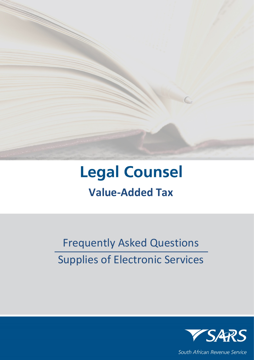

# **Legal Counsel Value-Added Tax**

# Frequently Asked Questions Supplies of Electronic Services



South African Revenue Service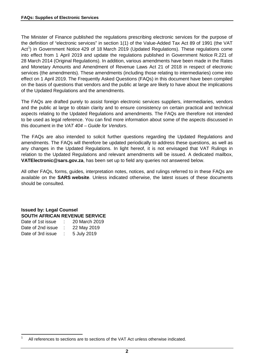The Minister of Finance published the regulations prescribing electronic services for the purpose of the definition of "electronic services" in section 1(1) of the Value-Added Tax Act 89 of 1991 (the VAT Act<sup>[1](#page-1-0)</sup>) in Government Notice 429 of 18 March 2019 (Updated Regulations). These regulations come into effect from 1 April 2019 and update the regulations published in Government Notice R.221 of 28 March 2014 (Original Regulations). In addition, various amendments have been made in the Rates and Monetary Amounts and Amendment of Revenue Laws Act 21 of 2018 in respect of electronic services (the amendments). These amendments (including those relating to intermediaries) come into effect on 1 April 2019. The Frequently Asked Questions (FAQs) in this document have been compiled on the basis of questions that vendors and the public at large are likely to have about the implications of the Updated Regulations and the amendments.

The FAQs are drafted purely to assist foreign electronic services suppliers, intermediaries, vendors and the public at large to obtain clarity and to ensure consistency on certain practical and technical aspects relating to the Updated Regulations and amendments. The FAQs are therefore not intended to be used as legal reference. You can find more information about some of the aspects discussed in this document in the *VAT 404 – Guide for Vendors*.

The FAQs are also intended to solicit further questions regarding the Updated Regulations and amendments. The FAQs will therefore be updated periodically to address these questions, as well as any changes in the Updated Regulations. In light hereof, it is not envisaged that VAT Rulings in relation to the Updated Regulations and relevant amendments will be issued. A dedicated mailbox, **[VATElectronic@sars.gov.za](mailto:VATElectronic@sars.gov.za)**, has been set up to field any queries not answered below.

All other FAQs, forms, guides, interpretation notes, notices, and rulings referred to in these FAQs are available on the **SARS [website](http://www.sars.gov.za/)**. Unless indicated otherwise, the latest issues of these documents should be consulted.

**Issued by: Legal Counsel SOUTH AFRICAN REVENUE SERVICE** Date of 1st issue : 20 March 2019 Date of 2nd issue : 22 May 2019

| Dale of Zhu issue | <b>ZZ MAY ZUTS</b> |
|-------------------|--------------------|
| Date of 3rd issue | 5 July 2019        |

<span id="page-1-0"></span>All references to sections are to sections of the VAT Act unless otherwise indicated.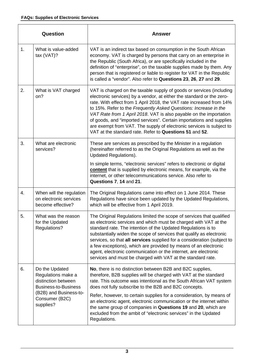|                                                                                                  | Question                                                                                                                                                                                                                                                     | <b>Answer</b>                                                                                                                                                                                                                                                                                                                                                                                                                                                                                                                                                              |
|--------------------------------------------------------------------------------------------------|--------------------------------------------------------------------------------------------------------------------------------------------------------------------------------------------------------------------------------------------------------------|----------------------------------------------------------------------------------------------------------------------------------------------------------------------------------------------------------------------------------------------------------------------------------------------------------------------------------------------------------------------------------------------------------------------------------------------------------------------------------------------------------------------------------------------------------------------------|
| 1.                                                                                               | What is value-added<br>tax $(VAT)$ ?                                                                                                                                                                                                                         | VAT is an indirect tax based on consumption in the South African<br>economy. VAT is charged by persons that carry on an enterprise in<br>the Republic (South Africa), or are specifically included in the<br>definition of "enterprise", on the taxable supplies made by them. Any<br>person that is registered or liable to register for VAT in the Republic<br>is called a "vendor". Also refer to Questions 23, 26, 27 and 29.                                                                                                                                          |
| 2.                                                                                               | What is VAT charged<br>on?                                                                                                                                                                                                                                   | VAT is charged on the taxable supply of goods or services (including<br>electronic services) by a vendor, at either the standard or the zero-<br>rate. With effect from 1 April 2018, the VAT rate increased from 14%<br>to 15%. Refer to the Frequently Asked Questions: Increase in the<br>VAT Rate from 1 April 2018. VAT is also payable on the importation<br>of goods, and "imported services". Certain importations and supplies<br>are exempt from VAT. The supply of electronic services is subject to<br>VAT at the standard rate. Refer to Questions 51 and 52. |
| 3.                                                                                               | What are electronic<br>services?                                                                                                                                                                                                                             | These are services as prescribed by the Minister in a regulation<br>(hereinafter referred to as the Original Regulations as well as the<br><b>Updated Regulations).</b>                                                                                                                                                                                                                                                                                                                                                                                                    |
|                                                                                                  |                                                                                                                                                                                                                                                              | In simple terms, "electronic services" refers to electronic or digital<br>content that is supplied by electronic means, for example, via the<br>internet, or other telecommunications service. Also refer to<br>Questions 7, 14 and 21.                                                                                                                                                                                                                                                                                                                                    |
| 4.                                                                                               | When will the regulation<br>on electronic services<br>become effective?                                                                                                                                                                                      | The Original Regulations came into effect on 1 June 2014. These<br>Regulations have since been updated by the Updated Regulations,<br>which will be effective from 1 April 2019.                                                                                                                                                                                                                                                                                                                                                                                           |
| 5.                                                                                               | What was the reason<br>for the Updated<br>Regulations?                                                                                                                                                                                                       | The Original Regulations limited the scope of services that qualified<br>as electronic services and which must be charged with VAT at the<br>standard rate. The intention of the Updated Regulations is to<br>substantially widen the scope of services that qualify as electronic<br>services, so that all services supplied for a consideration (subject to<br>a few exceptions), which are provided by means of an electronic<br>agent, electronic communication or the internet, are electronic<br>services and must be charged with VAT at the standard rate.         |
| Do the Updated<br>6.<br>Regulations make a<br>distinction between<br><b>Business-to-Business</b> | No, there is no distinction between B2B and B2C supplies,<br>therefore, B2B supplies will be charged with VAT at the standard<br>rate. This outcome was intentional as the South African VAT system<br>does not fully subscribe to the B2B and B2C concepts. |                                                                                                                                                                                                                                                                                                                                                                                                                                                                                                                                                                            |
|                                                                                                  | (B2B) and Business-to-<br>Consumer (B2C)<br>supplies?                                                                                                                                                                                                        | Refer, however, to certain supplies for a consideration, by means of<br>an electronic agent, electronic communication or the internet within<br>the same group of companies in Questions 19 and 20, which are<br>excluded from the ambit of "electronic services" in the Updated<br>Regulations.                                                                                                                                                                                                                                                                           |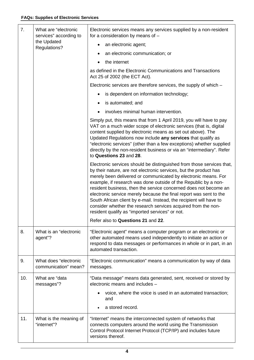| 7.  | What are "electronic<br>services" according to<br>the Updated | Electronic services means any services supplied by a non-resident<br>for a consideration by means of $-$                                                                                                                                                                                                                                                                                                                                                                                                                                                                                                             |
|-----|---------------------------------------------------------------|----------------------------------------------------------------------------------------------------------------------------------------------------------------------------------------------------------------------------------------------------------------------------------------------------------------------------------------------------------------------------------------------------------------------------------------------------------------------------------------------------------------------------------------------------------------------------------------------------------------------|
|     |                                                               | an electronic agent;                                                                                                                                                                                                                                                                                                                                                                                                                                                                                                                                                                                                 |
|     | Regulations?                                                  | an electronic communication; or                                                                                                                                                                                                                                                                                                                                                                                                                                                                                                                                                                                      |
|     |                                                               | the internet                                                                                                                                                                                                                                                                                                                                                                                                                                                                                                                                                                                                         |
|     |                                                               | as defined in the Electronic Communications and Transactions<br>Act 25 of 2002 (the ECT Act).                                                                                                                                                                                                                                                                                                                                                                                                                                                                                                                        |
|     |                                                               | Electronic services are therefore services, the supply of which –                                                                                                                                                                                                                                                                                                                                                                                                                                                                                                                                                    |
|     |                                                               | is dependent on information technology;<br>٠                                                                                                                                                                                                                                                                                                                                                                                                                                                                                                                                                                         |
|     |                                                               | is automated; and<br>٠                                                                                                                                                                                                                                                                                                                                                                                                                                                                                                                                                                                               |
|     |                                                               | involves minimal human intervention.                                                                                                                                                                                                                                                                                                                                                                                                                                                                                                                                                                                 |
|     |                                                               | Simply put, this means that from 1 April 2019, you will have to pay<br>VAT on a much wider scope of electronic services (that is, digital<br>content supplied by electronic means as set out above). The<br>Updated Regulations now include any services that qualify as<br>"electronic services" (other than a few exceptions) whether supplied<br>directly by the non-resident business or via an "intermediary". Refer<br>to Questions 23 and 28.                                                                                                                                                                 |
|     |                                                               | Electronic services should be distinguished from those services that,<br>by their nature, are not electronic services, but the product has<br>merely been delivered or communicated by electronic means. For<br>example, if research was done outside of the Republic by a non-<br>resident business, then the service concerned does not become an<br>electronic service merely because the final report was sent to the<br>South African client by e-mail. Instead, the recipient will have to<br>consider whether the research services acquired from the non-<br>resident qualify as "imported services" or not. |
|     |                                                               | Refer also to Questions 21 and 22.                                                                                                                                                                                                                                                                                                                                                                                                                                                                                                                                                                                   |
| 8.  | What is an "electronic<br>agent"?                             | "Electronic agent" means a computer program or an electronic or<br>other automated means used independently to initiate an action or<br>respond to data messages or performances in whole or in part, in an<br>automated transaction.                                                                                                                                                                                                                                                                                                                                                                                |
| 9.  | What does "electronic<br>communication" mean?                 | "Electronic communication" means a communication by way of data<br>messages.                                                                                                                                                                                                                                                                                                                                                                                                                                                                                                                                         |
| 10. | What are "data<br>messages"?                                  | "Data message" means data generated, sent, received or stored by<br>electronic means and includes -                                                                                                                                                                                                                                                                                                                                                                                                                                                                                                                  |
|     |                                                               | voice, where the voice is used in an automated transaction;<br>and                                                                                                                                                                                                                                                                                                                                                                                                                                                                                                                                                   |
|     |                                                               | a stored record.                                                                                                                                                                                                                                                                                                                                                                                                                                                                                                                                                                                                     |
| 11. | What is the meaning of<br>"internet"?                         | "Internet" means the interconnected system of networks that<br>connects computers around the world using the Transmission<br>Control Protocol Internet Protocol (TCP/IP) and includes future<br>versions thereof.                                                                                                                                                                                                                                                                                                                                                                                                    |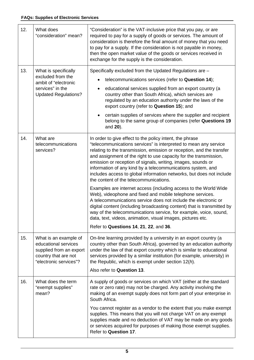| 12. | What does<br>"consideration" mean?                                                                                         | "Consideration" is the VAT-inclusive price that you pay, or are<br>required to pay for a supply of goods or services. The amount of<br>consideration is therefore the final amount of money that you need<br>to pay for a supply. If the consideration is not payable in money,<br>then the open market value of the goods or services received in<br>exchange for the supply is the consideration.                                                                                                                                                                                                                                                                                                                                                                                                                                                                                                                                                                                      |
|-----|----------------------------------------------------------------------------------------------------------------------------|------------------------------------------------------------------------------------------------------------------------------------------------------------------------------------------------------------------------------------------------------------------------------------------------------------------------------------------------------------------------------------------------------------------------------------------------------------------------------------------------------------------------------------------------------------------------------------------------------------------------------------------------------------------------------------------------------------------------------------------------------------------------------------------------------------------------------------------------------------------------------------------------------------------------------------------------------------------------------------------|
| 13. | What is specifically<br>excluded from the<br>ambit of "electronic<br>services" in the<br><b>Updated Regulations?</b>       | Specifically excluded from the Updated Regulations are -<br>telecommunications services (refer to Question 14);<br>educational services supplied from an export country (a<br>country other than South Africa), which services are<br>regulated by an education authority under the laws of the<br>export country (refer to Question 15); and<br>certain supplies of services where the supplier and recipient<br>belong to the same group of companies (refer Questions 19<br>and 20).                                                                                                                                                                                                                                                                                                                                                                                                                                                                                                  |
| 14. | What are<br>telecommunications<br>services?                                                                                | In order to give effect to the policy intent, the phrase<br>"telecommunications services" is interpreted to mean any service<br>relating to the transmission, emission or reception, and the transfer<br>and assignment of the right to use capacity for the transmission,<br>emission or reception of signals, writing, images, sounds or<br>information of any kind by a telecommunications system, and<br>includes access to global information networks, but does not include<br>the content of the telecommunications.<br>Examples are internet access (including access to the World Wide<br>Web), videophone and fixed and mobile telephone services.<br>A telecommunications service does not include the electronic or<br>digital content (including broadcasting content) that is transmitted by<br>way of the telecommunications service, for example, voice, sound,<br>data, text, videos, animation, visual images, pictures etc.<br>Refer to Questions 14, 21, 22, and 36. |
| 15. | What is an example of<br>educational services<br>supplied from an export<br>country that are not<br>"electronic services"? | On-line learning provided by a university in an export country (a<br>country other than South Africa), governed by an education authority<br>under the law of that export country which is similar to educational<br>services provided by a similar institution (for example, university) in<br>the Republic, which is exempt under section $12(h)$ .<br>Also refer to Question 13.                                                                                                                                                                                                                                                                                                                                                                                                                                                                                                                                                                                                      |
| 16. | What does the term<br>"exempt supplies"<br>mean?                                                                           | A supply of goods or services on which VAT (either at the standard<br>rate or zero rate) may not be charged. Any activity involving the<br>making of an exempt supply does not form part of your enterprise in<br>South Africa.<br>You cannot register as a vendor to the extent that you make exempt<br>supplies. This means that you will not charge VAT on any exempt<br>supplies made and no deduction of VAT may be made on any goods<br>or services acquired for purposes of making those exempt supplies.<br>Refer to Question 17.                                                                                                                                                                                                                                                                                                                                                                                                                                                |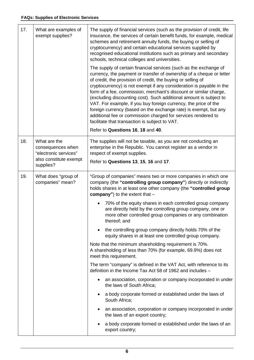| 17. | What are examples of<br>exempt supplies?                                                          | The supply of financial services (such as the provision of credit, life<br>insurance, the services of certain benefit funds, for example, medical<br>schemes and retirement annuity funds, the buying or selling of<br>cryptocurrency) and certain educational services supplied by<br>recognised educational institutions such as primary and secondary<br>schools, technical colleges and universities.                                                                                                                                                                                                                                                                              |
|-----|---------------------------------------------------------------------------------------------------|----------------------------------------------------------------------------------------------------------------------------------------------------------------------------------------------------------------------------------------------------------------------------------------------------------------------------------------------------------------------------------------------------------------------------------------------------------------------------------------------------------------------------------------------------------------------------------------------------------------------------------------------------------------------------------------|
|     |                                                                                                   | The supply of certain financial services (such as the exchange of<br>currency, the payment or transfer of ownership of a cheque or letter<br>of credit, the provision of credit, the buying or selling of<br>cryptocurrency) is not exempt if any consideration is payable in the<br>form of a fee, commission, merchant's discount or similar charge,<br>(excluding discounting cost). Such additional amount is subject to<br>VAT. For example, if you buy foreign currency, the price of the<br>foreign currency (based on the exchange rate) is exempt, but any<br>additional fee or commission charged for services rendered to<br>facilitate that transaction is subject to VAT. |
|     |                                                                                                   | Refer to Questions 16, 18 and 40.                                                                                                                                                                                                                                                                                                                                                                                                                                                                                                                                                                                                                                                      |
| 18. | What are the<br>consequences when<br>"electronic services"<br>also constitute exempt<br>supplies? | The supplies will not be taxable, as you are not conducting an<br>enterprise in the Republic. You cannot register as a vendor in<br>respect of exempt supplies.                                                                                                                                                                                                                                                                                                                                                                                                                                                                                                                        |
|     |                                                                                                   | Refer to Questions 13, 15, 16 and 17.                                                                                                                                                                                                                                                                                                                                                                                                                                                                                                                                                                                                                                                  |
| 19. | What does "group of<br>companies" mean?                                                           | "Group of companies" means two or more companies in which one<br>company (the "controlling group company") directly or indirectly<br>holds shares in at least one other company (the "controlled group<br>company") to the extent that $-$                                                                                                                                                                                                                                                                                                                                                                                                                                             |
|     |                                                                                                   | 70% of the equity shares in each controlled group company<br>$\bullet$<br>are directly held by the controlling group company, one or<br>more other controlled group companies or any combination<br>thereof; and                                                                                                                                                                                                                                                                                                                                                                                                                                                                       |
|     |                                                                                                   | the controlling group company directly holds 70% of the<br>$\bullet$<br>equity shares in at least one controlled group company.                                                                                                                                                                                                                                                                                                                                                                                                                                                                                                                                                        |
|     |                                                                                                   | Note that the minimum shareholding requirement is 70%.<br>A shareholding of less than 70% (for example, 69.9%) does not<br>meet this requirement.                                                                                                                                                                                                                                                                                                                                                                                                                                                                                                                                      |
|     |                                                                                                   | The term "company" is defined in the VAT Act, with reference to its<br>definition in the Income Tax Act 58 of 1962 and includes -                                                                                                                                                                                                                                                                                                                                                                                                                                                                                                                                                      |
|     |                                                                                                   | an association, corporation or company incorporated in under<br>the laws of South Africa;                                                                                                                                                                                                                                                                                                                                                                                                                                                                                                                                                                                              |
|     |                                                                                                   | a body corporate formed or established under the laws of<br>٠<br>South Africa;                                                                                                                                                                                                                                                                                                                                                                                                                                                                                                                                                                                                         |
|     |                                                                                                   | an association, corporation or company incorporated in under<br>the laws of an export country;                                                                                                                                                                                                                                                                                                                                                                                                                                                                                                                                                                                         |
|     |                                                                                                   | a body corporate formed or established under the laws of an<br>export country;                                                                                                                                                                                                                                                                                                                                                                                                                                                                                                                                                                                                         |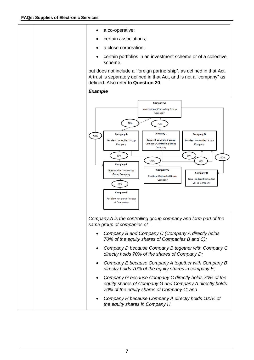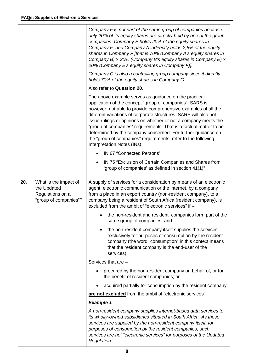|     |                                                                                   | Company F is not part of the same group of companies because<br>only 20% of its equity shares are directly held by one of the group<br>companies. Company E holds 20% of the equity shares in<br>Company F, and Company A indirectly holds 2,8% of the equity<br>shares in Company F [that is 70% (Company A's equity shares in<br>Company B) $\times$ 20% (Company B's equity shares in Company E) $\times$<br>20% (Company E's equity shares in Company F)].<br>Company C is also a controlling group company since it directly<br>holds 70% of the equity shares in Company G. |
|-----|-----------------------------------------------------------------------------------|-----------------------------------------------------------------------------------------------------------------------------------------------------------------------------------------------------------------------------------------------------------------------------------------------------------------------------------------------------------------------------------------------------------------------------------------------------------------------------------------------------------------------------------------------------------------------------------|
|     |                                                                                   | Also refer to Question 20.                                                                                                                                                                                                                                                                                                                                                                                                                                                                                                                                                        |
|     |                                                                                   | The above example serves as guidance on the practical<br>application of the concept "group of companies". SARS is,<br>however, not able to provide comprehensive examples of all the<br>different variations of corporate structures. SARS will also not<br>issue rulings or opinions on whether or not a company meets the<br>"group of companies" requirements. That is a factual matter to be<br>determined by the company concerned. For further guidance on<br>the "group of companies" requirements, refer to the following<br>Interpretation Notes (INs):                  |
|     |                                                                                   | IN 67 "Connected Persons"                                                                                                                                                                                                                                                                                                                                                                                                                                                                                                                                                         |
|     |                                                                                   | IN 75 "Exclusion of Certain Companies and Shares from<br>'group of companies' as defined in section 41(1)"                                                                                                                                                                                                                                                                                                                                                                                                                                                                        |
| 20. | What is the impact of<br>the Updated<br>Regulations on a<br>"group of companies"? | A supply of services for a consideration by means of an electronic<br>agent, electronic communication or the internet, by a company<br>from a place in an export country (non-resident company), to a<br>company being a resident of South Africa (resident company), is<br>excluded from the ambit of "electronic services" if -                                                                                                                                                                                                                                                 |
|     |                                                                                   | the non-resident and resident companies form part of the<br>same group of companies; and                                                                                                                                                                                                                                                                                                                                                                                                                                                                                          |
|     |                                                                                   | the non-resident company itself supplies the services<br>exclusively for purposes of consumption by the resident<br>company (the word "consumption" in this context means<br>that the resident company is the end-user of the<br>services).                                                                                                                                                                                                                                                                                                                                       |
|     |                                                                                   | Services that are -                                                                                                                                                                                                                                                                                                                                                                                                                                                                                                                                                               |
|     |                                                                                   | procured by the non-resident company on behalf of, or for<br>the benefit of resident companies; or                                                                                                                                                                                                                                                                                                                                                                                                                                                                                |
|     |                                                                                   | acquired partially for consumption by the resident company,                                                                                                                                                                                                                                                                                                                                                                                                                                                                                                                       |
|     |                                                                                   | are not excluded from the ambit of "electronic services".                                                                                                                                                                                                                                                                                                                                                                                                                                                                                                                         |
|     |                                                                                   | <b>Example 1</b>                                                                                                                                                                                                                                                                                                                                                                                                                                                                                                                                                                  |
|     |                                                                                   | A non-resident company supplies internet-based data services to<br>its wholly-owned subsidiaries situated in South Africa. As these<br>services are supplied by the non-resident company itself, for<br>purposes of consumption by the resident companies, such<br>services are not "electronic services" for purposes of the Updated<br>Regulation.                                                                                                                                                                                                                              |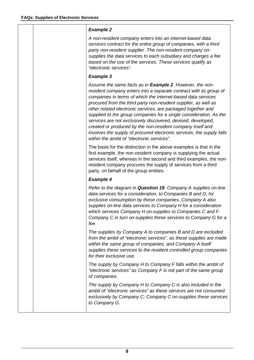#### *Example 2*

*A non-resident company enters into an internet-based data services contract for the entire group of companies, with a third party non-resident supplier. The non-resident company onsupplies the data services to each subsidiary and charges a fee based on the use of the services. These services qualify as "electronic services".*

## *Example 3*

*Assume the same facts as in Example 2. However, the nonresident company enters into a separate contract with its group of companies in terms of which the internet-based data services procured from the third party non-resident supplier, as well as other related electronic services, are packaged together and supplied to the group companies for a single consideration. As the services are not exclusively discovered, devised, developed, created or produced by the non-resident company itself and involves the supply of procured electronic services, the supply falls within the ambit of "electronic services".*

The basis for the distinction in the above examples is that in the first example, the non-resident company is supplying the actual services itself, whereas in the second and third examples, the nonresident company procures the supply of services from a third party, on behalf of the group entities.

## *Example 4*

*Refer to the diagram in Question 19. Company A supplies on-line data services for a consideration, to Companies B and D, for exclusive consumption by these companies. Company A also supplies on-line data services to Company H for a consideration which services Company H on-supplies to Companies C and F. Company C in turn on-supplies these services to Company G for a fee.*

*The supplies by Company A to companies B and D are excluded from the ambit of "electronic services", as these supplies are made within the same group of companies, and Company A itself supplies these services to the resident controlled group companies for their exclusive use.* 

*The supply by Company H to Company F falls within the ambit of "electronic services" as Company F is not part of the same group of companies.*

*The supply by Company H to Company C is also included in the ambit of "electronic services" as these services are not consumed exclusively by Company C; Company C on-supplies these services to Company G.*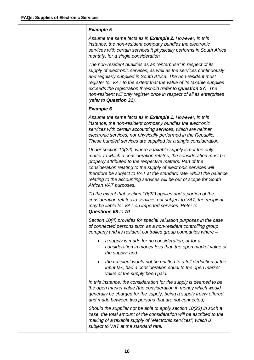| <b>Example 5</b>                                                                                                                                                                                                                                                                                                                                                                                                                                        |
|---------------------------------------------------------------------------------------------------------------------------------------------------------------------------------------------------------------------------------------------------------------------------------------------------------------------------------------------------------------------------------------------------------------------------------------------------------|
| Assume the same facts as in <b>Example 2</b> . However, in this<br>instance, the non-resident company bundles the electronic<br>services with certain services it physically performs in South Africa<br>monthly, for a single consideration.                                                                                                                                                                                                           |
| The non-resident qualifies as an "enterprise" in respect of its<br>supply of electronic services, as well as the services continuously<br>and regularly supplied in South Africa. The non-resident must<br>register for VAT to the extent that the value of its taxable supplies<br>exceeds the registration threshold (refer to Question 27). The<br>non-resident will only register once in respect of all its enterprises<br>(refer to Question 31). |
| <b>Example 6</b>                                                                                                                                                                                                                                                                                                                                                                                                                                        |
| Assume the same facts as in <b>Example 1</b> . However, in this<br>instance, the non-resident company bundles the electronic<br>services with certain accounting services, which are neither<br>electronic services, nor physically performed in the Republic.<br>These bundled services are supplied for a single consideration.                                                                                                                       |
| Under section 10(22), where a taxable supply is not the only<br>matter to which a consideration relates, the consideration must be<br>properly attributed to the respective matters. Part of the<br>consideration relating to the supply of electronic services will<br>therefore be subject to VAT at the standard rate, whilst the balance<br>relating to the accounting services will be out of scope for South<br>African VAT purposes.             |
| To the extent that section $10(22)$ applies and a portion of the<br>consideration relates to services not subject to VAT, the recipient<br>may be liable for VAT on imported services. Refer to<br>Questions 68 to 70                                                                                                                                                                                                                                   |
| Section 10(4) provides for special valuation purposes in the case<br>of connected persons such as a non-resident controlling group<br>company and its resident controlled group companies where -                                                                                                                                                                                                                                                       |
| a supply is made for no consideration, or for a<br>$\bullet$<br>consideration in money less than the open market value of<br>the supply; and                                                                                                                                                                                                                                                                                                            |
| the recipient would not be entitled to a full deduction of the<br>٠<br>input tax, had a consideration equal to the open market<br>value of the supply been paid.                                                                                                                                                                                                                                                                                        |
| In this instance, the consideration for the supply is deemed to be<br>the open market value (the consideration in money which would<br>generally be charged for the supply, being a supply freely offered<br>and made between two persons that are not connected).                                                                                                                                                                                      |
| Should the supplier not be able to apply section $10(22)$ in such a<br>case, the total amount of the consideration will be ascribed to the<br>making of a taxable supply of "electronic services", which is<br>subject to VAT at the standard rate.                                                                                                                                                                                                     |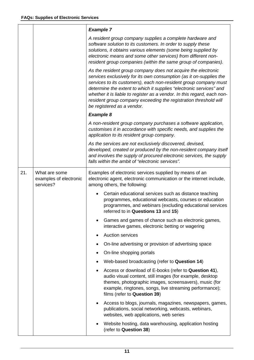|     |                                                      | <b>Example 7</b>                                                                                                                                                                                                                                                                                                                                                                                                                                             |
|-----|------------------------------------------------------|--------------------------------------------------------------------------------------------------------------------------------------------------------------------------------------------------------------------------------------------------------------------------------------------------------------------------------------------------------------------------------------------------------------------------------------------------------------|
|     |                                                      | A resident group company supplies a complete hardware and<br>software solution to its customers. In order to supply these<br>solutions, it obtains various elements (some being supplied by<br>electronic means and some other services) from different non-<br>resident group companies (within the same group of companies).                                                                                                                               |
|     |                                                      | As the resident group company does not acquire the electronic<br>services exclusively for its own consumption (as it on-supplies the<br>services to its customers), each non-resident group company must<br>determine the extent to which it supplies "electronic services" and<br>whether it is liable to register as a vendor. In this regard, each non-<br>resident group company exceeding the registration threshold will<br>be registered as a vendor. |
|     |                                                      | <b>Example 8</b>                                                                                                                                                                                                                                                                                                                                                                                                                                             |
|     |                                                      | A non-resident group company purchases a software application,<br>customises it in accordance with specific needs, and supplies the<br>application to its resident group company.                                                                                                                                                                                                                                                                            |
|     |                                                      | As the services are not exclusively discovered, devised,<br>developed, created or produced by the non-resident company itself<br>and involves the supply of procured electronic services, the supply<br>falls within the ambit of "electronic services".                                                                                                                                                                                                     |
| 21. | What are some<br>examples of electronic<br>services? | Examples of electronic services supplied by means of an<br>electronic agent, electronic communication or the internet include,<br>among others, the following:                                                                                                                                                                                                                                                                                               |
|     |                                                      | Certain educational services such as distance teaching<br>programmes, educational webcasts, courses or education<br>programmes, and webinars (excluding educational services<br>referred to in Questions 13 and 15)                                                                                                                                                                                                                                          |
|     |                                                      | Games and games of chance such as electronic games,<br>interactive games, electronic betting or wagering                                                                                                                                                                                                                                                                                                                                                     |
|     |                                                      | <b>Auction services</b>                                                                                                                                                                                                                                                                                                                                                                                                                                      |
|     |                                                      | On-line advertising or provision of advertising space                                                                                                                                                                                                                                                                                                                                                                                                        |
|     |                                                      | On-line shopping portals                                                                                                                                                                                                                                                                                                                                                                                                                                     |
|     |                                                      | Web-based broadcasting (refer to Question 14)                                                                                                                                                                                                                                                                                                                                                                                                                |
|     |                                                      | Access or download of E-books (refer to Question 41),<br>audio visual content, still images (for example, desktop<br>themes, photographic images, screensavers), music (for<br>example, ringtones, songs, live streaming performance);<br>films (refer to Question 39)                                                                                                                                                                                       |
|     |                                                      | Access to blogs, journals, magazines, newspapers, games,<br>publications, social networking, webcasts, webinars,<br>websites, web applications, web series                                                                                                                                                                                                                                                                                                   |
|     |                                                      | Website hosting, data warehousing, application hosting<br>(refer to Question 38)                                                                                                                                                                                                                                                                                                                                                                             |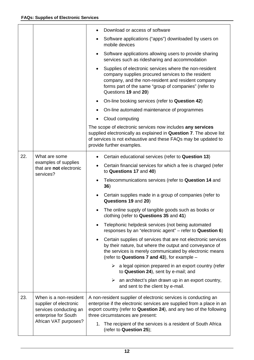|     |                                                                                                                             | Download or access of software                                                                                                                                                                                                                      |
|-----|-----------------------------------------------------------------------------------------------------------------------------|-----------------------------------------------------------------------------------------------------------------------------------------------------------------------------------------------------------------------------------------------------|
|     |                                                                                                                             | Software applications ("apps") downloaded by users on<br>mobile devices                                                                                                                                                                             |
|     |                                                                                                                             | Software applications allowing users to provide sharing<br>services such as ridesharing and accommodation                                                                                                                                           |
|     |                                                                                                                             | Supplies of electronic services where the non-resident<br>company supplies procured services to the resident<br>company, and the non-resident and resident company<br>forms part of the same "group of companies" (refer to<br>Questions 19 and 20) |
|     |                                                                                                                             | On-line booking services (refer to Question 42)                                                                                                                                                                                                     |
|     |                                                                                                                             | On-line automated maintenance of programmes                                                                                                                                                                                                         |
|     |                                                                                                                             | Cloud computing                                                                                                                                                                                                                                     |
|     |                                                                                                                             | The scope of electronic services now includes any services<br>supplied electronically as explained in Question 7. The above list<br>of services is not exhaustive and these FAQs may be updated to<br>provide further examples.                     |
| 22. | What are some<br>examples of supplies<br>that are not electronic<br>services?                                               | Certain educational services (refer to Question 13)                                                                                                                                                                                                 |
|     |                                                                                                                             | Certain financial services for which a fee is charged (refer<br>to Questions 17 and 40)                                                                                                                                                             |
|     |                                                                                                                             | Telecommunications services (refer to Question 14 and<br>36)                                                                                                                                                                                        |
|     |                                                                                                                             | Certain supplies made in a group of companies (refer to<br>Questions 19 and 20)                                                                                                                                                                     |
|     |                                                                                                                             | The online supply of tangible goods such as books or<br>clothing (refer to Questions 35 and 41)                                                                                                                                                     |
|     |                                                                                                                             | Telephonic helpdesk services (not being automated<br>responses by an "electronic agent" – refer to Question 6)                                                                                                                                      |
|     |                                                                                                                             | Certain supplies of services that are not electronic services<br>by their nature, but where the output and conveyance of<br>the services is merely communicated by electronic means<br>(refer to Questions 7 and 43), for example -                 |
|     |                                                                                                                             | $\triangleright$ a legal opinion prepared in an export country (refer<br>to Question 24), sent by e-mail; and                                                                                                                                       |
|     |                                                                                                                             | an architect's plan drawn up in an export country,<br>➤<br>and sent to the client by e-mail.                                                                                                                                                        |
| 23. | When is a non-resident<br>supplier of electronic<br>services conducting an<br>enterprise for South<br>African VAT purposes? | A non-resident supplier of electronic services is conducting an<br>enterprise if the electronic services are supplied from a place in an<br>export country (refer to Question 24), and any two of the following<br>three circumstances are present: |
|     |                                                                                                                             | 1. The recipient of the services is a resident of South Africa<br>(refer to Question 25);                                                                                                                                                           |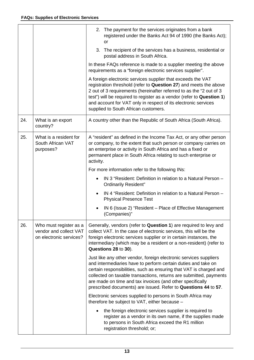|     |                                                                             | 2. The payment for the services originates from a bank<br>registered under the Banks Act 94 of 1990 (the Banks Act);<br>or                                                                                                                                                                                                                                                                                    |
|-----|-----------------------------------------------------------------------------|---------------------------------------------------------------------------------------------------------------------------------------------------------------------------------------------------------------------------------------------------------------------------------------------------------------------------------------------------------------------------------------------------------------|
|     |                                                                             | 3. The recipient of the services has a business, residential or<br>postal address in South Africa.                                                                                                                                                                                                                                                                                                            |
|     |                                                                             | In these FAQs reference is made to a supplier meeting the above<br>requirements as a "foreign electronic services supplier".                                                                                                                                                                                                                                                                                  |
|     |                                                                             | A foreign electronic services supplier that exceeds the VAT<br>registration threshold (refer to Question 27) and meets the above<br>2 out of 3 requirements (hereinafter referred to as the "2 out of 3<br>test") will be required to register as a vendor (refer to Question 1)<br>and account for VAT only in respect of its electronic services<br>supplied to South African customers.                    |
| 24. | What is an export<br>country?                                               | A country other than the Republic of South Africa (South Africa).                                                                                                                                                                                                                                                                                                                                             |
| 25. | What is a resident for<br>South African VAT<br>purposes?                    | A "resident" as defined in the Income Tax Act, or any other person<br>or company, to the extent that such person or company carries on<br>an enterprise or activity in South Africa and has a fixed or<br>permanent place in South Africa relating to such enterprise or<br>activity.                                                                                                                         |
|     |                                                                             | For more information refer to the following INs:                                                                                                                                                                                                                                                                                                                                                              |
|     |                                                                             | IN 3 "Resident: Definition in relation to a Natural Person -<br><b>Ordinarily Resident"</b>                                                                                                                                                                                                                                                                                                                   |
|     |                                                                             | IN 4 "Resident: Definition in relation to a Natural Person -<br><b>Physical Presence Test</b>                                                                                                                                                                                                                                                                                                                 |
|     |                                                                             | IN 6 (Issue 2) "Resident – Place of Effective Management<br>(Companies)"                                                                                                                                                                                                                                                                                                                                      |
| 26. | Who must register as a<br>vendor and collect VAT<br>on electronic services? | Generally, vendors (refer to Question 1) are required to levy and<br>collect VAT. In the case of electronic services, this will be the<br>foreign electronic services supplier or in certain instances, the<br>intermediary (which may be a resident or a non-resident) (refer to<br>Questions 28 to 30).                                                                                                     |
|     |                                                                             | Just like any other vendor, foreign electronic services suppliers<br>and intermediaries have to perform certain duties and take on<br>certain responsibilities, such as ensuring that VAT is charged and<br>collected on taxable transactions, returns are submitted, payments<br>are made on time and tax invoices (and other specifically<br>prescribed documents) are issued. Refer to Questions 44 to 57. |
|     |                                                                             | Electronic services supplied to persons in South Africa may<br>therefore be subject to VAT, either because -                                                                                                                                                                                                                                                                                                  |
|     |                                                                             | the foreign electronic services supplier is required to<br>register as a vendor in its own name, if the supplies made<br>to persons in South Africa exceed the R1 million<br>registration threshold; or;                                                                                                                                                                                                      |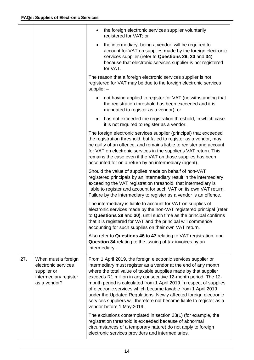|     |                                                                                                    | the foreign electronic services supplier voluntarily<br>registered for VAT; or                                                                                                                                                                                                                                                                                                                                                                                                                                                                                                         |
|-----|----------------------------------------------------------------------------------------------------|----------------------------------------------------------------------------------------------------------------------------------------------------------------------------------------------------------------------------------------------------------------------------------------------------------------------------------------------------------------------------------------------------------------------------------------------------------------------------------------------------------------------------------------------------------------------------------------|
|     |                                                                                                    | the intermediary, being a vendor, will be required to<br>$\bullet$<br>account for VAT on supplies made by the foreign electronic<br>services supplier (refer to Questions 29, 30 and 34)<br>because that electronic services supplier is not registered<br>for VAT.                                                                                                                                                                                                                                                                                                                    |
|     |                                                                                                    | The reason that a foreign electronic services supplier is not<br>registered for VAT may be due to the foreign electronic services<br>supplier $-$                                                                                                                                                                                                                                                                                                                                                                                                                                      |
|     |                                                                                                    | not having applied to register for VAT (notwithstanding that<br>the registration threshold has been exceeded and it is<br>mandated to register as a vendor); or                                                                                                                                                                                                                                                                                                                                                                                                                        |
|     |                                                                                                    | has not exceeded the registration threshold, in which case<br>$\bullet$<br>it is not required to register as a vendor.                                                                                                                                                                                                                                                                                                                                                                                                                                                                 |
|     |                                                                                                    | The foreign electronic services supplier (principal) that exceeded<br>the registration threshold, but failed to register as a vendor, may<br>be guilty of an offence, and remains liable to register and account<br>for VAT on electronic services in the supplier's VAT return. This<br>remains the case even if the VAT on those supplies has been<br>accounted for on a return by an intermediary (agent).                                                                                                                                                                          |
|     |                                                                                                    | Should the value of supplies made on behalf of non-VAT<br>registered principals by an intermediary result in the intermediary<br>exceeding the VAT registration threshold, that intermediary is<br>liable to register and account for such VAT on its own VAT return.<br>Failure by the intermediary to register as a vendor is an offence.                                                                                                                                                                                                                                            |
|     |                                                                                                    | The intermediary is liable to account for VAT on supplies of<br>electronic services made by the non-VAT registered principal (refer<br>to Questions 29 and 30), until such time as the principal confirms<br>that it is registered for VAT and the principal will commence<br>accounting for such supplies on their own VAT return.                                                                                                                                                                                                                                                    |
|     |                                                                                                    | Also refer to Questions 46 to 47 relating to VAT registration, and<br>Question 34 relating to the issuing of tax invoices by an<br>intermediary.                                                                                                                                                                                                                                                                                                                                                                                                                                       |
| 27. | When must a foreign<br>electronic services<br>supplier or<br>intermediary register<br>as a vendor? | From 1 April 2019, the foreign electronic services supplier or<br>intermediary must register as a vendor at the end of any month<br>where the total value of taxable supplies made by that supplier<br>exceeds R1 million in any consecutive 12-month period. The 12-<br>month period is calculated from 1 April 2019 in respect of supplies<br>of electronic services which became taxable from 1 April 2019<br>under the Updated Regulations. Newly affected foreign electronic<br>services suppliers will therefore not become liable to register as a<br>vendor before 1 May 2019. |
|     |                                                                                                    | The exclusions contemplated in section 23(1) (for example, the<br>registration threshold is exceeded because of abnormal<br>circumstances of a temporary nature) do not apply to foreign<br>electronic services providers and intermediaries.                                                                                                                                                                                                                                                                                                                                          |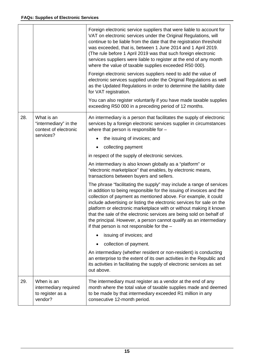|     |                                                                    | Foreign electronic service suppliers that were liable to account for<br>VAT on electronic services under the Original Regulations, will<br>continue to be liable from the date that the registration threshold<br>was exceeded, that is, between 1 June 2014 and 1 April 2019.<br>(The rule before 1 April 2019 was that such foreign electronic<br>services suppliers were liable to register at the end of any month<br>where the value of taxable supplies exceeded R50 000).<br>Foreign electronic services suppliers need to add the value of<br>electronic services supplied under the Original Regulations as well<br>as the Updated Regulations in order to determine the liability date<br>for VAT registration.<br>You can also register voluntarily if you have made taxable supplies<br>exceeding R50 000 in a preceding period of 12 months. |
|-----|--------------------------------------------------------------------|-----------------------------------------------------------------------------------------------------------------------------------------------------------------------------------------------------------------------------------------------------------------------------------------------------------------------------------------------------------------------------------------------------------------------------------------------------------------------------------------------------------------------------------------------------------------------------------------------------------------------------------------------------------------------------------------------------------------------------------------------------------------------------------------------------------------------------------------------------------|
| 28. | What is an<br>"intermediary" in the<br>context of electronic       | An intermediary is a person that facilitates the supply of electronic<br>services by a foreign electronic services supplier in circumstances<br>where that person is responsible for -                                                                                                                                                                                                                                                                                                                                                                                                                                                                                                                                                                                                                                                                    |
|     | services?                                                          | the issuing of invoices; and                                                                                                                                                                                                                                                                                                                                                                                                                                                                                                                                                                                                                                                                                                                                                                                                                              |
|     |                                                                    | collecting payment                                                                                                                                                                                                                                                                                                                                                                                                                                                                                                                                                                                                                                                                                                                                                                                                                                        |
|     |                                                                    | in respect of the supply of electronic services.                                                                                                                                                                                                                                                                                                                                                                                                                                                                                                                                                                                                                                                                                                                                                                                                          |
|     |                                                                    | An intermediary is also known globally as a "platform" or<br>"electronic marketplace" that enables, by electronic means,<br>transactions between buyers and sellers.                                                                                                                                                                                                                                                                                                                                                                                                                                                                                                                                                                                                                                                                                      |
|     |                                                                    | The phrase "facilitating the supply" may include a range of services<br>in addition to being responsible for the issuing of invoices and the<br>collection of payment as mentioned above. For example, it could<br>include advertising or listing the electronic services for sale on the<br>platform or electronic marketplace with or without making it known<br>that the sale of the electronic services are being sold on behalf of<br>the principal. However, a person cannot qualify as an intermediary<br>if that person is not responsible for the $-$                                                                                                                                                                                                                                                                                            |
|     |                                                                    | issuing of invoices; and                                                                                                                                                                                                                                                                                                                                                                                                                                                                                                                                                                                                                                                                                                                                                                                                                                  |
|     |                                                                    | collection of payment.<br>٠                                                                                                                                                                                                                                                                                                                                                                                                                                                                                                                                                                                                                                                                                                                                                                                                                               |
|     |                                                                    | An intermediary (whether resident or non-resident) is conducting<br>an enterprise to the extent of its own activities in the Republic and<br>its activities in facilitating the supply of electronic services as set<br>out above.                                                                                                                                                                                                                                                                                                                                                                                                                                                                                                                                                                                                                        |
| 29. | When is an<br>intermediary required<br>to register as a<br>vendor? | The intermediary must register as a vendor at the end of any<br>month where the total value of taxable supplies made and deemed<br>to be made by that intermediary exceeded R1 million in any<br>consecutive 12-month period.                                                                                                                                                                                                                                                                                                                                                                                                                                                                                                                                                                                                                             |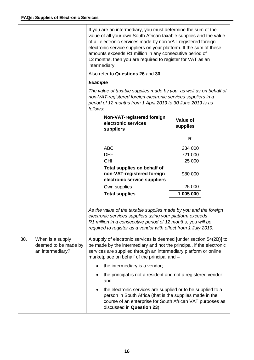|     |                                                              | If you are an intermediary, you must determine the sum of the<br>value of all your own South African taxable supplies and the value<br>of all electronic services made by non-VAT-registered foreign<br>electronic service suppliers on your platform. If the sum of these<br>amounts exceeds R1 million in any consecutive period of<br>12 months, then you are required to register for VAT as an<br>intermediary.<br>Also refer to Questions 26 and 30. |                             |
|-----|--------------------------------------------------------------|------------------------------------------------------------------------------------------------------------------------------------------------------------------------------------------------------------------------------------------------------------------------------------------------------------------------------------------------------------------------------------------------------------------------------------------------------------|-----------------------------|
|     |                                                              | <b>Example</b>                                                                                                                                                                                                                                                                                                                                                                                                                                             |                             |
|     |                                                              | The value of taxable supplies made by you, as well as on behalf of<br>non-VAT-registered foreign electronic services suppliers in a<br>period of 12 months from 1 April 2019 to 30 June 2019 is as<br>follows:                                                                                                                                                                                                                                             |                             |
|     |                                                              | Non-VAT-registered foreign<br>electronic services<br>suppliers                                                                                                                                                                                                                                                                                                                                                                                             | <b>Value of</b><br>supplies |
|     |                                                              |                                                                                                                                                                                                                                                                                                                                                                                                                                                            | R                           |
|     |                                                              | <b>ABC</b>                                                                                                                                                                                                                                                                                                                                                                                                                                                 | 234 000                     |
|     |                                                              | <b>DEF</b>                                                                                                                                                                                                                                                                                                                                                                                                                                                 | 721 000                     |
|     |                                                              | <b>GHI</b>                                                                                                                                                                                                                                                                                                                                                                                                                                                 | 25 000                      |
|     |                                                              | Total supplies on behalf of<br>non-VAT-registered foreign<br>electronic service suppliers                                                                                                                                                                                                                                                                                                                                                                  | 980 000                     |
|     |                                                              | Own supplies                                                                                                                                                                                                                                                                                                                                                                                                                                               | 25 000                      |
|     |                                                              | <b>Total supplies</b>                                                                                                                                                                                                                                                                                                                                                                                                                                      | 1 005 000                   |
|     |                                                              | As the value of the taxable supplies made by you and the foreign<br>electronic services suppliers using your platform exceeds<br>R1 million in a consecutive period of 12 months, you will be<br>required to register as a vendor with effect from 1 July 2019.                                                                                                                                                                                            |                             |
| 30. | When is a supply<br>deemed to be made by<br>an intermediary? | A supply of electronic services is deemed [under section 54(2B)] to<br>be made by the intermediary and not the principal, if the electronic<br>services are supplied through an intermediary platform or online<br>marketplace on behalf of the principal and -                                                                                                                                                                                            |                             |
|     |                                                              | the intermediary is a vendor;                                                                                                                                                                                                                                                                                                                                                                                                                              |                             |
|     |                                                              | the principal is not a resident and not a registered vendor;<br>and                                                                                                                                                                                                                                                                                                                                                                                        |                             |
|     |                                                              | the electronic services are supplied or to be supplied to a<br>person in South Africa (that is the supplies made in the<br>course of an enterprise for South African VAT purposes as<br>discussed in Question 23).                                                                                                                                                                                                                                         |                             |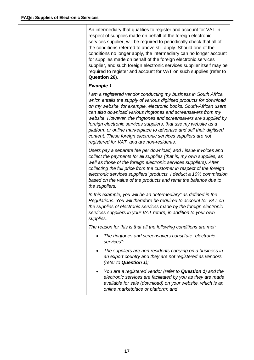|  | An intermediary that qualifies to register and account for VAT in<br>respect of supplies made on behalf of the foreign electronic<br>services supplier, will be required to periodically check that all of<br>the conditions referred to above still apply. Should one of the<br>conditions no longer apply, the intermediary can no longer account<br>for supplies made on behalf of the foreign electronic services<br>supplier, and such foreign electronic services supplier itself may be<br>required to register and account for VAT on such supplies (refer to<br>Question 26).                    |
|--|-----------------------------------------------------------------------------------------------------------------------------------------------------------------------------------------------------------------------------------------------------------------------------------------------------------------------------------------------------------------------------------------------------------------------------------------------------------------------------------------------------------------------------------------------------------------------------------------------------------|
|  | <b>Example 1</b>                                                                                                                                                                                                                                                                                                                                                                                                                                                                                                                                                                                          |
|  | I am a registered vendor conducting my business in South Africa,<br>which entails the supply of various digitised products for download<br>on my website, for example, electronic books. South-African users<br>can also download various ringtones and screensavers from my<br>website. However, the ringtones and screensavers are supplied by<br>foreign electronic services suppliers, that use my website as a<br>platform or online marketplace to advertise and sell their digitised<br>content. These foreign electronic services suppliers are not<br>registered for VAT, and are non-residents. |
|  | Users pay a separate fee per download, and I issue invoices and<br>collect the payments for all supplies (that is, my own supplies, as<br>well as those of the foreign electronic services suppliers). After<br>collecting the full price from the customer in respect of the foreign<br>electronic services suppliers' products, I deduct a 10% commission<br>based on the value of the products and remit the balance due to<br>the suppliers.                                                                                                                                                          |
|  | In this example, you will be an "intermediary" as defined in the<br>Regulations. You will therefore be required to account for VAT on<br>the supplies of electronic services made by the foreign electronic<br>services suppliers in your VAT return, in addition to your own<br>supplies.                                                                                                                                                                                                                                                                                                                |
|  | The reason for this is that all the following conditions are met:                                                                                                                                                                                                                                                                                                                                                                                                                                                                                                                                         |
|  | The ringtones and screensavers constitute "electronic"<br>٠<br>services";                                                                                                                                                                                                                                                                                                                                                                                                                                                                                                                                 |
|  | The suppliers are non-residents carrying on a business in<br>an export country and they are not registered as vendors<br>(refer to Question 1);                                                                                                                                                                                                                                                                                                                                                                                                                                                           |
|  | You are a registered vendor (refer to Question 1) and the<br>electronic services are facilitated by you as they are made<br>available for sale (download) on your website, which is an<br>online marketplace or platform; and                                                                                                                                                                                                                                                                                                                                                                             |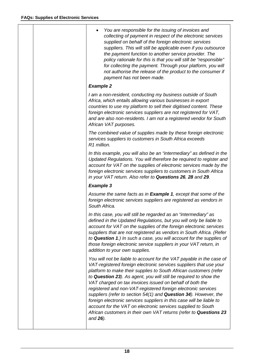|  | You are responsible for the issuing of invoices and<br>collecting of payment in respect of the electronic services<br>supplied on behalf of the foreign electronic services<br>suppliers. This will still be applicable even if you outsource<br>the payment function to another service provider. The<br>policy rationale for this is that you will still be "responsible"<br>for collecting the payment. Through your platform, you will<br>not authorise the release of the product to the consumer if<br>payment has not been made.                                                                                                                                                                        |
|--|----------------------------------------------------------------------------------------------------------------------------------------------------------------------------------------------------------------------------------------------------------------------------------------------------------------------------------------------------------------------------------------------------------------------------------------------------------------------------------------------------------------------------------------------------------------------------------------------------------------------------------------------------------------------------------------------------------------|
|  | <b>Example 2</b>                                                                                                                                                                                                                                                                                                                                                                                                                                                                                                                                                                                                                                                                                               |
|  | I am a non-resident, conducting my business outside of South<br>Africa, which entails allowing various businesses in export<br>countries to use my platform to sell their digitised content. These<br>foreign electronic services suppliers are not registered for VAT,<br>and are also non-residents. I am not a registered vendor for South<br>African VAT purposes.                                                                                                                                                                                                                                                                                                                                         |
|  | The combined value of supplies made by these foreign electronic<br>services suppliers to customers in South Africa exceeds<br>R1 million.                                                                                                                                                                                                                                                                                                                                                                                                                                                                                                                                                                      |
|  | In this example, you will also be an "intermediary" as defined in the<br>Updated Regulations. You will therefore be required to register and<br>account for VAT on the supplies of electronic services made by the<br>foreign electronic services suppliers to customers in South Africa<br>in your VAT return. Also refer to Questions 26, 28 and 29.                                                                                                                                                                                                                                                                                                                                                         |
|  | <b>Example 3</b>                                                                                                                                                                                                                                                                                                                                                                                                                                                                                                                                                                                                                                                                                               |
|  | Assume the same facts as in <b>Example 1</b> , except that some of the<br>foreign electronic services suppliers are registered as vendors in<br>South Africa.                                                                                                                                                                                                                                                                                                                                                                                                                                                                                                                                                  |
|  | In this case, you will still be regarded as an "intermediary" as<br>defined in the Updated Regulations, but you will only be liable to<br>account for VAT on the supplies of the foreign electronic services<br>suppliers that are not registered as vendors in South Africa. (Refer<br>to Question 1.) In such a case, you will account for the supplies of<br>those foreign electronic service suppliers in your VAT return, in<br>addition to your own supplies.                                                                                                                                                                                                                                            |
|  | You will not be liable to account for the VAT payable in the case of<br>VAT-registered foreign electronic services suppliers that use your<br>platform to make their supplies to South African customers (refer<br>to Question 23). As agent, you will still be required to show the<br>VAT charged on tax invoices issued on behalf of both the<br>registered and non-VAT-registered foreign electronic services<br>suppliers (refer to section 54(1) and Question 34). However, the<br>foreign electronic services suppliers in this case will be liable to<br>account for the VAT on electronic services supplied to South<br>African customers in their own VAT returns (refer to Questions 23<br>and 26). |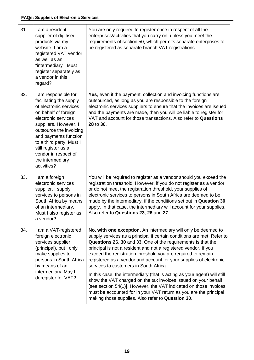| 31. | I am a resident<br>supplier of digitised<br>products via my<br>website. I am a<br>registered VAT vendor<br>as well as an<br>"intermediary". Must I<br>register separately as<br>a vendor in this<br>regard?                                                                                                         | You are only required to register once in respect of all the<br>enterprises/activities that you carry on, unless you meet the<br>requirements of section 50, which permits separate enterprises to<br>be registered as separate branch VAT registrations.                                                                                                                                                                                                                                                                                                                                                                                                                                                                                                                                                |
|-----|---------------------------------------------------------------------------------------------------------------------------------------------------------------------------------------------------------------------------------------------------------------------------------------------------------------------|----------------------------------------------------------------------------------------------------------------------------------------------------------------------------------------------------------------------------------------------------------------------------------------------------------------------------------------------------------------------------------------------------------------------------------------------------------------------------------------------------------------------------------------------------------------------------------------------------------------------------------------------------------------------------------------------------------------------------------------------------------------------------------------------------------|
| 32. | I am responsible for<br>facilitating the supply<br>of electronic services<br>on behalf of foreign<br>electronic services<br>suppliers. However, I<br>outsource the invoicing<br>and payments function<br>to a third party. Must I<br>still register as a<br>vendor in respect of<br>the intermediary<br>activities? | <b>Yes, even if the payment, collection and invoicing functions are</b><br>outsourced, as long as you are responsible to the foreign<br>electronic services suppliers to ensure that the invoices are issued<br>and the payments are made, then you will be liable to register for<br>VAT and account for those transactions. Also refer to Questions<br>28 to 30.                                                                                                                                                                                                                                                                                                                                                                                                                                       |
| 33. | I am a foreign<br>electronic services<br>supplier. I supply<br>services to persons in<br>South Africa by means<br>of an intermediary.<br>Must I also register as<br>a vendor?                                                                                                                                       | You will be required to register as a vendor should you exceed the<br>registration threshold. However, if you do not register as a vendor,<br>or do not meet the registration threshold, your supplies of<br>electronic services to persons in South Africa are deemed to be<br>made by the intermediary, if the conditions set out in Question 30<br>apply. In that case, the intermediary will account for your supplies.<br>Also refer to Questions 23, 26 and 27.                                                                                                                                                                                                                                                                                                                                    |
| 34. | I am a VAT-registered<br>foreign electronic<br>services supplier<br>(principal), but I only<br>make supplies to<br>persons in South Africa<br>by means of an<br>intermediary. May I<br>deregister for VAT?                                                                                                          | No, with one exception. An intermediary will only be deemed to<br>supply services as a principal if certain conditions are met. Refer to<br>Questions 26, 30 and 33. One of the requirements is that the<br>principal is not a resident and not a registered vendor. If you<br>exceed the registration threshold you are required to remain<br>registered as a vendor and account for your supplies of electronic<br>services to customers in South Africa.<br>In this case, the intermediary (that is acting as your agent) will still<br>show the VAT charged on the tax invoices issued on your behalf<br>[see section 54(1)]. However, the VAT indicated on those invoices<br>must be accounted for in your VAT return as you are the principal<br>making those supplies. Also refer to Question 30. |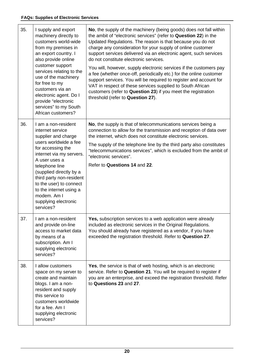| 35. | I supply and export<br>machinery directly to<br>customers world-wide<br>from my premises in<br>an export country. I<br>also provide online<br>customer support<br>services relating to the<br>use of the machinery<br>for free to my<br>customers via an<br>electronic agent. Do I<br>provide "electronic<br>services" to my South<br>African customers? | No, the supply of the machinery (being goods) does not fall within<br>the ambit of "electronic services" (refer to Question 22) in the<br>Updated Regulations. The reason is that because you do not<br>charge any consideration for your supply of online customer<br>support services delivered via an electronic agent, such services<br>do not constitute electronic services.<br>You will, however, supply electronic services if the customers pay<br>a fee (whether once-off, periodically etc.) for the online customer<br>support services. You will be required to register and account for<br>VAT in respect of these services supplied to South African<br>customers (refer to Question 23) if you meet the registration<br>threshold (refer to Question 27). |
|-----|----------------------------------------------------------------------------------------------------------------------------------------------------------------------------------------------------------------------------------------------------------------------------------------------------------------------------------------------------------|---------------------------------------------------------------------------------------------------------------------------------------------------------------------------------------------------------------------------------------------------------------------------------------------------------------------------------------------------------------------------------------------------------------------------------------------------------------------------------------------------------------------------------------------------------------------------------------------------------------------------------------------------------------------------------------------------------------------------------------------------------------------------|
| 36. | I am a non-resident<br>internet service<br>supplier and charge<br>users worldwide a fee<br>for accessing the<br>internet via my servers.                                                                                                                                                                                                                 | No, the supply is that of telecommunications services being a<br>connection to allow for the transmission and reception of data over<br>the internet, which does not constitute electronic services.                                                                                                                                                                                                                                                                                                                                                                                                                                                                                                                                                                      |
|     |                                                                                                                                                                                                                                                                                                                                                          | The supply of the telephone line by the third party also constitutes<br>"telecommunications services", which is excluded from the ambit of<br>"electronic services".                                                                                                                                                                                                                                                                                                                                                                                                                                                                                                                                                                                                      |
|     | A user uses a<br>telephone line<br>(supplied directly by a<br>third party non-resident<br>to the user) to connect<br>to the internet using a<br>modem. Am I<br>supplying electronic<br>services?                                                                                                                                                         | Refer to Questions 14 and 22.                                                                                                                                                                                                                                                                                                                                                                                                                                                                                                                                                                                                                                                                                                                                             |
| 37. | I am a non-resident<br>and provide on-line<br>access to market data<br>by means of a<br>subscription. Am I<br>supplying electronic<br>services?                                                                                                                                                                                                          | Yes, subscription services to a web application were already<br>included as electronic services in the Original Regulations.<br>You should already have registered as a vendor, if you have<br>exceeded the registration threshold. Refer to Question 27.                                                                                                                                                                                                                                                                                                                                                                                                                                                                                                                 |
| 38. | I allow customers<br>space on my server to<br>create and maintain<br>blogs. I am a non-<br>resident and supply<br>this service to<br>customers worldwide<br>for a fee. Am I<br>supplying electronic<br>services?                                                                                                                                         | <b>Yes, the service is that of web hosting, which is an electronic</b><br>service. Refer to Question 21. You will be required to register if<br>you are an enterprise, and exceed the registration threshold. Refer<br>to Questions 23 and 27.                                                                                                                                                                                                                                                                                                                                                                                                                                                                                                                            |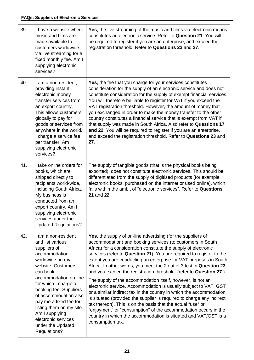| 39. | I have a website where<br>music and films are<br>made available to<br>customers worldwide<br>via live streaming for a<br>fixed monthly fee. Am I<br>supplying electronic<br>services?                                                                                                                                                                                 | Yes, the live streaming of the music and films via electronic means<br>constitutes an electronic service. Refer to Question 21. You will<br>be required to register if you are an enterprise, and exceed the<br>registration threshold. Refer to Questions 23 and 27.                                                                                                                                                                                                                                                                                                                                                                                                                                                                                                                                                                                                                                                                                                                              |
|-----|-----------------------------------------------------------------------------------------------------------------------------------------------------------------------------------------------------------------------------------------------------------------------------------------------------------------------------------------------------------------------|----------------------------------------------------------------------------------------------------------------------------------------------------------------------------------------------------------------------------------------------------------------------------------------------------------------------------------------------------------------------------------------------------------------------------------------------------------------------------------------------------------------------------------------------------------------------------------------------------------------------------------------------------------------------------------------------------------------------------------------------------------------------------------------------------------------------------------------------------------------------------------------------------------------------------------------------------------------------------------------------------|
| 40. | I am a non-resident,<br>providing instant<br>electronic money<br>transfer services from<br>an export country.<br>This allows customers<br>globally to pay for<br>goods or services from<br>anywhere in the world.<br>I charge a service fee<br>per transfer. Am I<br>supplying electronic<br>services?                                                                | Yes, the fee that you charge for your services constitutes<br>consideration for the supply of an electronic service and does not<br>constitute consideration for the supply of exempt financial services.<br>You will therefore be liable to register for VAT if you exceed the<br>VAT registration threshold. However, the amount of money that<br>you exchanged in order to make the money transfer to the other<br>country constitutes a financial service that is exempt from VAT if<br>that supply was made in South Africa. Also refer to Questions 17<br>and 22. You will be required to register if you are an enterprise,<br>and exceed the registration threshold. Refer to Questions 23 and<br>27.                                                                                                                                                                                                                                                                                      |
| 41. | I take online orders for<br>books, which are<br>shipped directly to<br>recipients world-wide,<br>including South Africa.<br>My business is<br>conducted from an<br>export country. Am I<br>supplying electronic<br>services under the<br><b>Updated Regulations?</b>                                                                                                  | The supply of tangible goods (that is the physical books being<br>exported), does not constitute electronic services. This should be<br>differentiated from the supply of digitised products (for example,<br>electronic books, purchased on the internet or used online), which<br>falls within the ambit of "electronic services". Refer to Questions<br>21 and 22.                                                                                                                                                                                                                                                                                                                                                                                                                                                                                                                                                                                                                              |
| 42. | I am a non-resident<br>and list various<br>suppliers of<br>accommodation<br>worldwide on my<br>website. Customers<br>can book<br>accommodation on-line<br>for which I charge a<br>booking fee. Suppliers<br>of accommodation also<br>pay me a fixed fee for<br>listing them on my site.<br>Am I supplying<br>electronic services<br>under the Updated<br>Regulations? | Yes, the supply of on-line advertising (for the suppliers of<br>accommodation) and booking services (to customers in South<br>Africa) for a consideration constitute the supply of electronic<br>services (refer to Question 21). You are required to register to the<br>extent you are conducting an enterprise for VAT purposes in South<br>Africa. In other words, you meet the 2 out of 3 test in Question 23<br>and you exceed the registration threshold. (refer to Question 27.)<br>The supply of the accommodation itself, however, is not an<br>electronic service. Accommodation is usually subject to VAT, GST<br>or a similar indirect tax in the country in which the accommodation<br>is situated (provided the supplier is required to charge any indirect<br>tax thereon). This is on the basis that the actual "use" or<br>"enjoyment" or "consumption" of the accommodation occurs in the<br>country in which the accommodation is situated and VAT/GST is a<br>consumption tax. |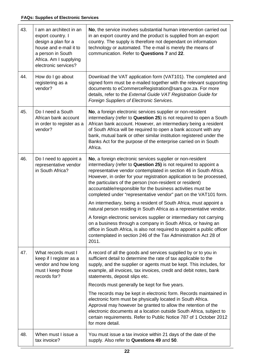| 43. | I am an architect in an<br>export country. I<br>design a plan for a<br>house and e-mail it to<br>a person in South<br>Africa. Am I supplying<br>electronic services? | No, the service involves substantial human intervention carried out<br>in an export country and the product is supplied from an export<br>country. The supply is therefore not dependant on information<br>technology or automated. The e-mail is merely the means of<br>communication. Refer to Questions 7 and 22.                                                                                                                                                       |
|-----|----------------------------------------------------------------------------------------------------------------------------------------------------------------------|----------------------------------------------------------------------------------------------------------------------------------------------------------------------------------------------------------------------------------------------------------------------------------------------------------------------------------------------------------------------------------------------------------------------------------------------------------------------------|
| 44. | How do I go about<br>registering as a<br>vendor?                                                                                                                     | Download the VAT application form (VAT101). The completed and<br>signed form must be e-mailed together with the relevant supporting<br>documents to eCommerceRegistration@sars.gov.za. For more<br>details, refer to the External Guide VAT Registration Guide for<br>Foreign Suppliers of Electronic Services.                                                                                                                                                            |
| 45. | Do I need a South<br>African bank account<br>in order to register as a<br>vendor?                                                                                    | No, a foreign electronic services supplier or non-resident<br>intermediary (refer to Question 25) is not required to open a South<br>African bank account. However, an intermediary being a resident<br>of South Africa will be required to open a bank account with any<br>bank, mutual bank or other similar institution registered under the<br>Banks Act for the purpose of the enterprise carried on in South<br>Africa.                                              |
| 46. | Do I need to appoint a<br>representative vendor<br>in South Africa?                                                                                                  | No, a foreign electronic services supplier or non-resident<br>intermediary (refer to Question 25) is not required to appoint a<br>representative vendor contemplated in section 46 in South Africa.<br>However, in order for your registration application to be processed,<br>the particulars of the person (non-resident or resident)<br>accountable/responsible for the business activities must be<br>completed under "representative vendor" part on the VAT101 form. |
|     |                                                                                                                                                                      | An intermediary, being a resident of South Africa, must appoint a<br>natural person residing in South Africa as a representative vendor.                                                                                                                                                                                                                                                                                                                                   |
|     |                                                                                                                                                                      | A foreign electronic services supplier or intermediary not carrying<br>on a business through a company in South Africa, or having an<br>office in South Africa, is also not required to appoint a public officer<br>contemplated in section 246 of the Tax Administration Act 28 of<br>2011.                                                                                                                                                                               |
| 47. | What records must I<br>keep if I register as a<br>vendor and how long<br>must I keep those<br>records for?                                                           | A record of all the goods and services supplied by or to you in<br>sufficient detail to determine the rate of tax applicable to the<br>supply, and the supplier or agents must be kept. This includes, for<br>example, all invoices, tax invoices, credit and debit notes, bank<br>statements, deposit slips etc.                                                                                                                                                          |
|     |                                                                                                                                                                      | Records must generally be kept for five years.                                                                                                                                                                                                                                                                                                                                                                                                                             |
|     |                                                                                                                                                                      | The records may be kept in electronic form. Records maintained in<br>electronic form must be physically located in South Africa.<br>Approval may however be granted to allow the retention of the<br>electronic documents at a location outside South Africa, subject to<br>certain requirements. Refer to Public Notice 787 of 1 October 2012<br>for more detail.                                                                                                         |
| 48. | When must I issue a<br>tax invoice?                                                                                                                                  | You must issue a tax invoice within 21 days of the date of the<br>supply. Also refer to Questions 49 and 50.                                                                                                                                                                                                                                                                                                                                                               |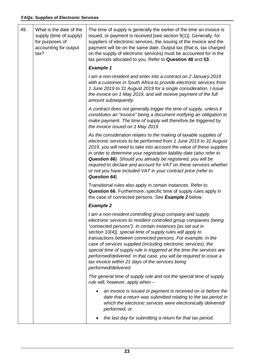$\overline{1}$ 

| 49. | What is the date of the<br>supply (time of supply)<br>for purposes of<br>accounting for output<br>tax? | The time of supply is generally the earlier of the time an invoice is<br>issued, or payment is received [see section 9(1)]. Generally, for<br>suppliers of electronic services, the issuing of the invoice and the<br>payment will be on the same date. Output tax (that is, tax charged<br>on the supply of electronic services) must be accounted for in the<br>tax periods allocated to you. Refer to Question 48 and 53.                                                                                                                                                                                         |
|-----|--------------------------------------------------------------------------------------------------------|----------------------------------------------------------------------------------------------------------------------------------------------------------------------------------------------------------------------------------------------------------------------------------------------------------------------------------------------------------------------------------------------------------------------------------------------------------------------------------------------------------------------------------------------------------------------------------------------------------------------|
|     |                                                                                                        | <b>Example 1</b>                                                                                                                                                                                                                                                                                                                                                                                                                                                                                                                                                                                                     |
|     |                                                                                                        | I am a non-resident and enter into a contract on 2 January 2019<br>with a customer in South Africa to provide electronic services from<br>1 June 2019 to 31 August 2019 for a single consideration. I issue<br>the invoice on 1 May 2019, and will receive payment of the full<br>amount subsequently.                                                                                                                                                                                                                                                                                                               |
|     |                                                                                                        | A contract does not generally trigger the time of supply, unless it<br>constitutes an "invoice" being a document notifying an obligation to<br>make payment. The time of supply will therefore be triggered by<br>the invoice issued on 1 May 2019.                                                                                                                                                                                                                                                                                                                                                                  |
|     |                                                                                                        | As the consideration relates to the making of taxable supplies of<br>electronic services to be performed from 1 June 2019 to 31 August<br>2019, you will need to take into account the value of these supplies<br>in order to determine your registration liability date (also refer to<br>Question 66). Should you already be registered, you will be<br>required to declare and account for VAT on these services whether<br>or not you have included VAT in your contract price (refer to<br>Question 64).                                                                                                        |
|     |                                                                                                        | Transitional rules also apply in certain instances. Refer to<br>Question 66. Furthermore, specific time of supply rules apply in<br>the case of connected persons. See Example 2 below.                                                                                                                                                                                                                                                                                                                                                                                                                              |
|     |                                                                                                        | <b>Example 2</b>                                                                                                                                                                                                                                                                                                                                                                                                                                                                                                                                                                                                     |
|     |                                                                                                        | I am a non-resident controlling group company and supply<br>electronic services to resident controlled group companies (being<br>"connected persons"). In certain instances [as set out in<br>section 10(4)], special time of supply rules will apply to<br>transactions between connected persons. For example, in the<br>case of services supplied (including electronic services), the<br>special time of supply rule is triggered at the time the services are<br>performed/delivered. In that case, you will be required to issue a<br>tax invoice within 21 days of the services being<br>performed/delivered. |
|     |                                                                                                        | The general time of supply rule and not the special time of supply<br>rule will, however, apply when -                                                                                                                                                                                                                                                                                                                                                                                                                                                                                                               |
|     |                                                                                                        | an invoice is issued or payment is received on or before the<br>date that a return was submitted relating to the tax period in<br>which the electronic services were electronically delivered/<br>performed; or                                                                                                                                                                                                                                                                                                                                                                                                      |
|     |                                                                                                        | the last day for submitting a return for that tax period.                                                                                                                                                                                                                                                                                                                                                                                                                                                                                                                                                            |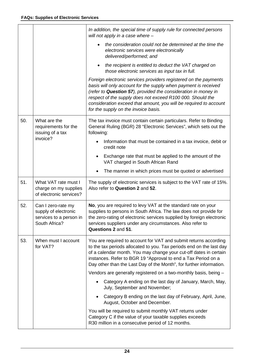|     |                                                                                        | In addition, the special time of supply rule for connected persons<br>will not apply in a case where -                                                                                                                                                                                                                                                                           |
|-----|----------------------------------------------------------------------------------------|----------------------------------------------------------------------------------------------------------------------------------------------------------------------------------------------------------------------------------------------------------------------------------------------------------------------------------------------------------------------------------|
|     |                                                                                        | the consideration could not be determined at the time the<br>electronic services were electronically<br>delivered/performed; and                                                                                                                                                                                                                                                 |
|     |                                                                                        | the recipient is entitled to deduct the VAT charged on<br>٠<br>those electronic services as input tax in full.                                                                                                                                                                                                                                                                   |
|     |                                                                                        | Foreign electronic services providers registered on the payments<br>basis will only account for the supply when payment is received<br>(refer to Question 57), provided the consideration in money in<br>respect of the supply does not exceed R100 000. Should the<br>consideration exceed that amount, you will be required to account<br>for the supply on the invoice basis. |
| 50. | What are the<br>requirements for the<br>issuing of a tax                               | The tax invoice must contain certain particulars. Refer to Binding<br>General Ruling (BGR) 28 "Electronic Services", which sets out the<br>following:                                                                                                                                                                                                                            |
|     | invoice?                                                                               | Information that must be contained in a tax invoice, debit or<br>credit note                                                                                                                                                                                                                                                                                                     |
|     |                                                                                        | Exchange rate that must be applied to the amount of the<br>VAT charged in South African Rand                                                                                                                                                                                                                                                                                     |
|     |                                                                                        | The manner in which prices must be quoted or advertised                                                                                                                                                                                                                                                                                                                          |
| 51. | What VAT rate must I<br>charge on my supplies<br>of electronic services?               | The supply of electronic services is subject to the VAT rate of 15%.<br>Also refer to Question 2 and 52.                                                                                                                                                                                                                                                                         |
| 52. | Can I zero-rate my<br>supply of electronic<br>services to a person in<br>South Africa? | No, you are required to levy VAT at the standard rate on your<br>supplies to persons in South Africa. The law does not provide for<br>the zero-rating of electronic services supplied by foreign electronic<br>services suppliers under any circumstances. Also refer to<br>Questions 2 and 51.                                                                                  |
| 53. | When must I account<br>for VAT?                                                        | You are required to account for VAT and submit returns according<br>to the tax periods allocated to you. Tax periods end on the last day<br>of a calendar month. You may change your cut-off dates in certain<br>instances. Refer to BGR 19 "Approval to end a Tax Period on a<br>Day other than the Last Day of the Month", for further information.                            |
|     |                                                                                        | Vendors are generally registered on a two-monthly basis, being -                                                                                                                                                                                                                                                                                                                 |
|     |                                                                                        | Category A ending on the last day of January, March, May,<br>July, September and November;                                                                                                                                                                                                                                                                                       |
|     |                                                                                        | Category B ending on the last day of February, April, June,<br>August, October and December.                                                                                                                                                                                                                                                                                     |
|     |                                                                                        | You will be required to submit monthly VAT returns under<br>Category C if the value of your taxable supplies exceeds<br>R30 million in a consecutive period of 12 months.                                                                                                                                                                                                        |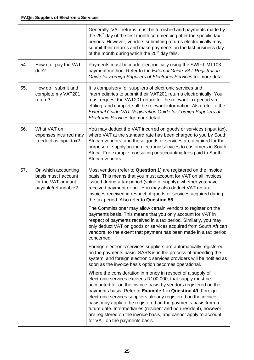|     |                                                                                          | Generally, VAT returns must be furnished and payments made by<br>the 25 <sup>th</sup> day of the first month commencing after the specific tax<br>periods. However, vendors submitting returns electronically may<br>submit their returns and make payments on the last business day<br>of the month during which the 25 <sup>th</sup> day falls.                                                                                                                                                                                                                       |
|-----|------------------------------------------------------------------------------------------|-------------------------------------------------------------------------------------------------------------------------------------------------------------------------------------------------------------------------------------------------------------------------------------------------------------------------------------------------------------------------------------------------------------------------------------------------------------------------------------------------------------------------------------------------------------------------|
| 54. | How do I pay the VAT<br>due?                                                             | Payments must be made electronically using the SWIFT MT103<br>payment method. Refer to the External Guide VAT Registration<br>Guide for Foreign Suppliers of Electronic Services for more detail.                                                                                                                                                                                                                                                                                                                                                                       |
| 55. | How do I submit and<br>complete my VAT201<br>return?                                     | It is compulsory for suppliers of electronic services and<br>intermediaries to submit their VAT201 returns electronically. You<br>must request the VAT201 return for the relevant tax period via<br>eFiling, and complete all the relevant information. Also refer to the<br>External Guide VAT Registration Guide for Foreign Suppliers of<br>Electronic Services for more detail.                                                                                                                                                                                     |
| 56. | What VAT on<br>expenses incurred may<br>I deduct as input tax?                           | You may deduct the VAT incurred on goods or services (input tax),<br>where VAT at the standard rate has been charged to you by South<br>African vendors, and these goods or services are acquired for the<br>purpose of supplying the electronic services to customers in South<br>Africa. For example, consulting or accounting fees paid to South<br>African vendors.                                                                                                                                                                                                 |
| 57. | On which accounting<br>basis must I account<br>for the VAT amount<br>payable/refundable? | Most vendors (refer to Question 1) are registered on the invoice<br>basis. This means that you must account for VAT on all invoices<br>issued during a tax period (value of supply), whether you have<br>received payment or not. You may also deduct VAT on tax<br>invoices received in respect of goods or services acquired during<br>the tax period. Also refer to Question 56.                                                                                                                                                                                     |
|     |                                                                                          | The Commissioner may allow certain vendors to register on the<br>payments basis. This means that you only account for VAT in<br>respect of payments received in a tax period. Similarly, you may<br>only deduct VAT on goods or services acquired from South African<br>vendors, to the extent that payment has been made in a tax period<br>concerned.                                                                                                                                                                                                                 |
|     |                                                                                          | Foreign electronic services suppliers are automatically registered<br>on the payments basis. SARS is in the process of amending the<br>system, and foreign electronic services providers will be notified as<br>soon as the invoice basis option becomes operational.                                                                                                                                                                                                                                                                                                   |
|     |                                                                                          | Where the consideration in money in respect of a supply of<br>electronic services exceeds R100 000, that supply must be<br>accounted for on the invoice basis by vendors registered on the<br>payments basis. Refer to Example 1 in Question 49. Foreign<br>electronic services suppliers already registered on the invoice<br>basis may apply to be registered on the payments basis from a<br>future date. Intermediaries (resident and non-resident), however,<br>are registered on the invoice basis, and cannot apply to account<br>for VAT on the payments basis. |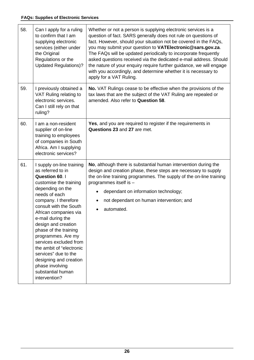| 58. | Can I apply for a ruling<br>to confirm that I am<br>supplying electronic<br>services (either under<br>the Original<br>Regulations or the<br><b>Updated Regulations)?</b>                                                                                                                                                                                                                                                                                                      | Whether or not a person is supplying electronic services is a<br>question of fact. SARS generally does not rule on questions of<br>fact. However, should your situation not be covered in the FAQs,<br>you may submit your question to VATElectronic@sars.gov.za.<br>The FAQs will be updated periodically to incorporate frequently<br>asked questions received via the dedicated e-mail address. Should<br>the nature of your enquiry require further guidance, we will engage<br>with you accordingly, and determine whether it is necessary to<br>apply for a VAT Ruling. |
|-----|-------------------------------------------------------------------------------------------------------------------------------------------------------------------------------------------------------------------------------------------------------------------------------------------------------------------------------------------------------------------------------------------------------------------------------------------------------------------------------|-------------------------------------------------------------------------------------------------------------------------------------------------------------------------------------------------------------------------------------------------------------------------------------------------------------------------------------------------------------------------------------------------------------------------------------------------------------------------------------------------------------------------------------------------------------------------------|
| 59. | I previously obtained a<br>VAT Ruling relating to<br>electronic services.<br>Can I still rely on that<br>ruling?                                                                                                                                                                                                                                                                                                                                                              | No. VAT Rulings cease to be effective when the provisions of the<br>tax laws that are the subject of the VAT Ruling are repealed or<br>amended. Also refer to Question 58.                                                                                                                                                                                                                                                                                                                                                                                                    |
| 60. | I am a non-resident<br>supplier of on-line<br>training to employees<br>of companies in South<br>Africa. Am I supplying<br>electronic services?                                                                                                                                                                                                                                                                                                                                | Yes, and you are required to register if the requirements in<br>Questions 23 and 27 are met.                                                                                                                                                                                                                                                                                                                                                                                                                                                                                  |
| 61. | I supply on-line training<br>as referred to in<br><b>Question 60. I</b><br>customise the training<br>depending on the<br>needs of each<br>company. I therefore<br>consult with the South<br>African companies via<br>e-mail during the<br>design and creation<br>phase of the training<br>programmes. Are my<br>services excluded from<br>the ambit of "electronic<br>services" due to the<br>designing and creation<br>phase involving<br>substantial human<br>intervention? | No, although there is substantial human intervention during the<br>design and creation phase, these steps are necessary to supply<br>the on-line training programmes. The supply of the on-line training<br>programmes itself is -<br>dependant on information technology;<br>not dependant on human intervention; and<br>automated.                                                                                                                                                                                                                                          |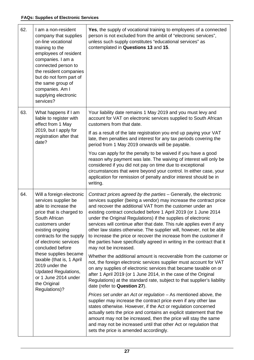| 62. | I am a non-resident<br>company that supplies<br>on-line vocational<br>training to the<br>employees of resident<br>companies. I am a<br>connected person to<br>the resident companies<br>but do not form part of<br>the same group of<br>companies. Am I<br>supplying electronic<br>services?                                                                                           | Yes, the supply of vocational training to employees of a connected<br>person is not excluded from the ambit of "electronic services",<br>unless such supply constitutes "educational services" as<br>contemplated in Questions 13 and 15.                                                                                                                                                                                                                                                                                                                                                                                                                                                                                                                                                                                                                                                                                                                                                                                                                       |
|-----|----------------------------------------------------------------------------------------------------------------------------------------------------------------------------------------------------------------------------------------------------------------------------------------------------------------------------------------------------------------------------------------|-----------------------------------------------------------------------------------------------------------------------------------------------------------------------------------------------------------------------------------------------------------------------------------------------------------------------------------------------------------------------------------------------------------------------------------------------------------------------------------------------------------------------------------------------------------------------------------------------------------------------------------------------------------------------------------------------------------------------------------------------------------------------------------------------------------------------------------------------------------------------------------------------------------------------------------------------------------------------------------------------------------------------------------------------------------------|
| 63. | What happens if I am<br>liable to register with<br>effect from 1 May<br>2019, but I apply for<br>registration after that<br>date?                                                                                                                                                                                                                                                      | Your liability date remains 1 May 2019 and you must levy and<br>account for VAT on electronic services supplied to South African<br>customers from that date.<br>If as a result of the late registration you end up paying your VAT<br>late, then penalties and interest for any tax periods covering the<br>period from 1 May 2019 onwards will be payable.                                                                                                                                                                                                                                                                                                                                                                                                                                                                                                                                                                                                                                                                                                    |
|     |                                                                                                                                                                                                                                                                                                                                                                                        | You can apply for the penalty to be waived if you have a good<br>reason why payment was late. The waiving of interest will only be<br>considered if you did not pay on time due to exceptional<br>circumstances that were beyond your control. In either case, your<br>application for remission of penalty and/or interest should be in<br>writing.                                                                                                                                                                                                                                                                                                                                                                                                                                                                                                                                                                                                                                                                                                            |
| 64. | Will a foreign electronic<br>services supplier be<br>able to increase the<br>price that is charged to<br>South African<br>customers under<br>existing ongoing<br>contracts for the supply<br>of electronic services<br>concluded before<br>these supplies became<br>taxable (that is, 1 April<br>2019 under the<br><b>Updated Regulations,</b><br>or 1 June 2014 under<br>the Original | Contract prices agreed by the parties - Generally, the electronic<br>services supplier (being a vendor) may increase the contract price<br>and recover the additional VAT from the customer under an<br>existing contract concluded before 1 April 2019 (or 1 June 2014<br>under the Original Regulations) if the supplies of electronic<br>services will continue after that date. This rule applies even if any<br>other law states otherwise. The supplier will, however, not be able<br>to increase the price or recover the increase from the customer if<br>the parties have specifically agreed in writing in the contract that it<br>may not be increased.<br>Whether the additional amount is recoverable from the customer or<br>not, the foreign electronic services supplier must account for VAT<br>on any supplies of electronic services that became taxable on or<br>after 1 April 2019 (or 1 June 2014, in the case of the Original<br>Regulations) at the standard rate, subject to that supplier's liability<br>date (refer to Question 27). |
|     | Regulations)?                                                                                                                                                                                                                                                                                                                                                                          | Prices set under an Act or regulation - As mentioned above, the<br>supplier may increase the contract price even if any other law<br>states otherwise. However, if the Act or regulation concerned<br>actually sets the price and contains an explicit statement that the<br>amount may not be increased, then the price will stay the same<br>and may not be increased until that other Act or regulation that<br>sets the price is amended accordingly.                                                                                                                                                                                                                                                                                                                                                                                                                                                                                                                                                                                                       |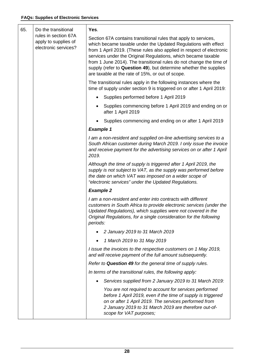| 65. | Do the transitional<br>rules in section 67A<br>apply to supplies of<br>electronic services? | Yes.                                                                                                                                                                                                                                                                                                                                                                                                                                                                        |
|-----|---------------------------------------------------------------------------------------------|-----------------------------------------------------------------------------------------------------------------------------------------------------------------------------------------------------------------------------------------------------------------------------------------------------------------------------------------------------------------------------------------------------------------------------------------------------------------------------|
|     |                                                                                             | Section 67A contains transitional rules that apply to services,<br>which became taxable under the Updated Regulations with effect<br>from 1 April 2019. (These rules also applied in respect of electronic<br>services under the Original Regulations, which became taxable<br>from 1 June 2014). The transitional rules do not change the time of<br>supply (refer to Question 49), but determine whether the supplies<br>are taxable at the rate of 15%, or out of scope. |
|     |                                                                                             | The transitional rules apply in the following instances where the<br>time of supply under section 9 is triggered on or after 1 April 2019:                                                                                                                                                                                                                                                                                                                                  |
|     |                                                                                             | Supplies performed before 1 April 2019                                                                                                                                                                                                                                                                                                                                                                                                                                      |
|     |                                                                                             | Supplies commencing before 1 April 2019 and ending on or<br>after 1 April 2019                                                                                                                                                                                                                                                                                                                                                                                              |
|     |                                                                                             | Supplies commencing and ending on or after 1 April 2019                                                                                                                                                                                                                                                                                                                                                                                                                     |
|     |                                                                                             | <b>Example 1</b>                                                                                                                                                                                                                                                                                                                                                                                                                                                            |
|     |                                                                                             | I am a non-resident and supplied on-line advertising services to a<br>South African customer during March 2019. I only issue the invoice<br>and receive payment for the advertising services on or after 1 April<br>2019.                                                                                                                                                                                                                                                   |
|     |                                                                                             | Although the time of supply is triggered after 1 April 2019, the<br>supply is not subject to VAT, as the supply was performed before<br>the date on which VAT was imposed on a wider scope of<br>"electronic services" under the Updated Regulations.                                                                                                                                                                                                                       |
|     |                                                                                             | <b>Example 2</b>                                                                                                                                                                                                                                                                                                                                                                                                                                                            |
|     |                                                                                             | I am a non-resident and enter into contracts with different<br>customers in South Africa to provide electronic services (under the<br>Updated Regulations), which supplies were not covered in the<br>Original Regulations, for a single consideration for the following<br>periods:                                                                                                                                                                                        |
|     |                                                                                             | 2 January 2019 to 31 March 2019                                                                                                                                                                                                                                                                                                                                                                                                                                             |
|     |                                                                                             | 1 March 2019 to 31 May 2019<br>$\bullet$                                                                                                                                                                                                                                                                                                                                                                                                                                    |
|     |                                                                                             | I issue the invoices to the respective customers on 1 May 2019,<br>and will receive payment of the full amount subsequently.                                                                                                                                                                                                                                                                                                                                                |
|     |                                                                                             | Refer to <b>Question 49</b> for the general time of supply rules.                                                                                                                                                                                                                                                                                                                                                                                                           |
|     |                                                                                             | In terms of the transitional rules, the following apply:                                                                                                                                                                                                                                                                                                                                                                                                                    |
|     |                                                                                             | Services supplied from 2 January 2019 to 31 March 2019:                                                                                                                                                                                                                                                                                                                                                                                                                     |
|     |                                                                                             | You are not required to account for services performed<br>before 1 April 2019, even if the time of supply is triggered<br>on or after 1 April 2019. The services performed from<br>2 January 2019 to 31 March 2019 are therefore out-of-<br>scope for VAT purposes;                                                                                                                                                                                                         |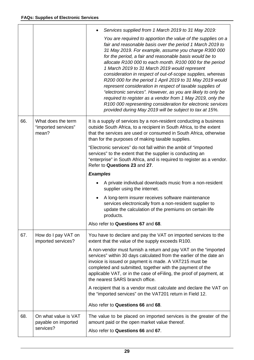|     |                                                          | Services supplied from 1 March 2019 to 31 May 2019:                                                                                                                                                                                                                                                                                                                                                                                                                                                                                                                                                                                                                                                                                                                                                       |
|-----|----------------------------------------------------------|-----------------------------------------------------------------------------------------------------------------------------------------------------------------------------------------------------------------------------------------------------------------------------------------------------------------------------------------------------------------------------------------------------------------------------------------------------------------------------------------------------------------------------------------------------------------------------------------------------------------------------------------------------------------------------------------------------------------------------------------------------------------------------------------------------------|
|     |                                                          | You are required to apportion the value of the supplies on a<br>fair and reasonable basis over the period 1 March 2019 to<br>31 May 2019. For example, assume you charge R300 000<br>for the period, a fair and reasonable basis would be to<br>allocate R100 000 to each month. R100 000 for the period<br>1 March 2019 to 31 March 2019 would represent<br>consideration in respect of out-of-scope supplies, whereas<br>R200 000 for the period 1 April 2019 to 31 May 2019 would<br>represent consideration in respect of taxable supplies of<br>"electronic services". However, as you are likely to only be<br>required to register as a vendor from 1 May 2019, only the<br>R100 000 representing consideration for electronic services<br>provided during May 2019 will be subject to tax at 15%. |
| 66. | What does the term<br>"imported services"<br>mean?       | It is a supply of services by a non-resident conducting a business<br>outside South Africa, to a recipient in South Africa, to the extent<br>that the services are used or consumed in South Africa, otherwise<br>than for the purposes of making taxable supplies.                                                                                                                                                                                                                                                                                                                                                                                                                                                                                                                                       |
|     |                                                          | "Electronic services" do not fall within the ambit of "imported<br>services" to the extent that the supplier is conducting an<br>"enterprise" in South Africa, and is required to register as a vendor.<br>Refer to Questions 23 and 27.                                                                                                                                                                                                                                                                                                                                                                                                                                                                                                                                                                  |
|     |                                                          | <b>Examples</b>                                                                                                                                                                                                                                                                                                                                                                                                                                                                                                                                                                                                                                                                                                                                                                                           |
|     |                                                          | A private individual downloads music from a non-resident<br>supplier using the internet.                                                                                                                                                                                                                                                                                                                                                                                                                                                                                                                                                                                                                                                                                                                  |
|     |                                                          | A long-term insurer receives software maintenance<br>services electronically from a non-resident supplier to<br>update the calculation of the premiums on certain life<br>products.                                                                                                                                                                                                                                                                                                                                                                                                                                                                                                                                                                                                                       |
|     |                                                          | Also refer to Questions 67 and 68.                                                                                                                                                                                                                                                                                                                                                                                                                                                                                                                                                                                                                                                                                                                                                                        |
| 67. | How do I pay VAT on<br>imported services?                | You have to declare and pay the VAT on imported services to the<br>extent that the value of the supply exceeds R100.                                                                                                                                                                                                                                                                                                                                                                                                                                                                                                                                                                                                                                                                                      |
|     |                                                          | A non-vendor must furnish a return and pay VAT on the "imported"<br>services" within 30 days calculated from the earlier of the date an<br>invoice is issued or payment is made. A VAT215 must be<br>completed and submitted, together with the payment of the<br>applicable VAT, or in the case of eFiling, the proof of payment, at<br>the nearest SARS branch office.                                                                                                                                                                                                                                                                                                                                                                                                                                  |
|     |                                                          | A recipient that is a vendor must calculate and declare the VAT on<br>the "imported services" on the VAT201 return in Field 12.                                                                                                                                                                                                                                                                                                                                                                                                                                                                                                                                                                                                                                                                           |
|     |                                                          | Also refer to Questions 66 and 68.                                                                                                                                                                                                                                                                                                                                                                                                                                                                                                                                                                                                                                                                                                                                                                        |
| 68. | On what value is VAT<br>payable on imported<br>services? | The value to be placed on imported services is the greater of the<br>amount paid or the open market value thereof.<br>Also refer to Questions 66 and 67.                                                                                                                                                                                                                                                                                                                                                                                                                                                                                                                                                                                                                                                  |
|     |                                                          |                                                                                                                                                                                                                                                                                                                                                                                                                                                                                                                                                                                                                                                                                                                                                                                                           |